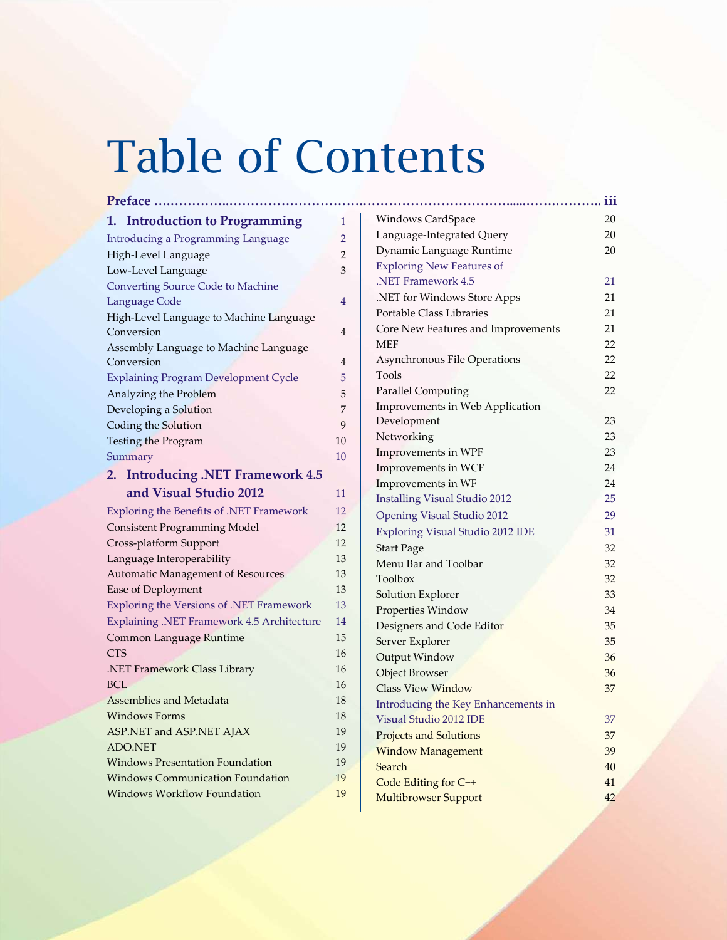# Table of Contents

| <b>Introduction to Programming</b><br>1.    | 1              |
|---------------------------------------------|----------------|
| <b>Introducing a Programming Language</b>   | 2              |
| High-Level Language                         | 2              |
| Low-Level Language                          | 3              |
| <b>Converting Source Code to Machine</b>    |                |
| Language Code                               | $\overline{4}$ |
| High-Level Language to Machine Language     |                |
| Conversion                                  | 4              |
| Assembly Language to Machine Language       |                |
| Conversion                                  | 4              |
| <b>Explaining Program Development Cycle</b> | 5              |
| Analyzing the Problem                       | 5              |
| Developing a Solution                       | 7              |
| Coding the Solution                         | 9              |
| Testing the Program                         | 10             |
| Summary                                     | 10             |
| <b>Introducing .NET Framework 4.5</b><br>2. |                |
| and Visual Studio 2012                      | 11             |
| Exploring the Benefits of .NET Framework    | 12             |
| <b>Consistent Programming Model</b>         | 12             |
| Cross-platform Support                      | 12             |
| Language Interoperability                   | 13             |
| Automatic Management of Resources           | 13             |
| Ease of Deployment                          | 13             |
| Exploring the Versions of .NET Framework    | 13             |
| Explaining .NET Framework 4.5 Architecture  | 14             |
| Common Language Runtime                     | 15             |
| <b>CTS</b>                                  | 16             |
| NET Framework Class Library.                | 16             |
| <b>BCL</b>                                  | 16             |
| <b>Assemblies and Metadata</b>              | 18             |
| <b>Windows Forms</b>                        | 18             |
| ASP.NET and ASP.NET AJAX                    | 19             |
| <b>ADO.NET</b>                              | 19             |
| <b>Windows Presentation Foundation</b>      | 19             |
| <b>Windows Communication Foundation</b>     | 19             |
| <b>Windows Workflow Foundation</b>          | 19             |

| Preface                                     |                |                                         | iii |
|---------------------------------------------|----------------|-----------------------------------------|-----|
| 1. Introduction to Programming              | $\mathbf{1}$   | Windows CardSpace                       | 20  |
| <b>Introducing a Programming Language</b>   | $\overline{2}$ | Language-Integrated Query               | 20  |
| High-Level Language                         | 2              | Dynamic Language Runtime                | 20  |
| Low-Level Language                          | 3              | <b>Exploring New Features of</b>        |     |
| <b>Converting Source Code to Machine</b>    |                | .NET Framework 4.5                      | 21  |
| Language Code                               | 4              | .NET for Windows Store Apps             | 21  |
| High-Level Language to Machine Language     |                | Portable Class Libraries                | 21  |
| Conversion                                  | 4              | Core New Features and Improvements      | 21  |
| Assembly Language to Machine Language       |                | <b>MEF</b>                              | 22  |
| Conversion                                  | 4              | Asynchronous File Operations            | 22  |
| <b>Explaining Program Development Cycle</b> | 5              | Tools                                   | 22  |
| Analyzing the Problem                       | 5              | <b>Parallel Computing</b>               | 22  |
| Developing a Solution                       | 7              | Improvements in Web Application         |     |
| Coding the Solution                         | 9              | Development                             | 23  |
| Testing the Program                         | 10             | Networking                              | 23  |
| Summary                                     | 10             | Improvements in WPF                     | 23  |
| 2. Introducing .NET Framework 4.5           |                | Improvements in WCF                     | 24  |
|                                             |                | Improvements in WF                      | 24  |
| and Visual Studio 2012                      | 11             | <b>Installing Visual Studio 2012</b>    | 25  |
| Exploring the Benefits of .NET Framework    | 12             | Opening Visual Studio 2012              | 29  |
| <b>Consistent Programming Model</b>         | 12             | <b>Exploring Visual Studio 2012 IDE</b> | 31  |
| Cross-platform Support                      | 12             | <b>Start Page</b>                       | 32  |
| Language Interoperability                   | 13             | Menu Bar and Toolbar                    | 32  |
| Automatic Management of Resources           | 13             | Toolbox                                 | 32  |
| Ease of Deployment                          | 13             | Solution Explorer                       | 33  |
| Exploring the Versions of .NET Framework    | 13             | Properties Window                       | 34  |
| Explaining .NET Framework 4.5 Architecture  | 14             | Designers and Code Editor               | 35  |
| Common Language Runtime                     | 15             | Server Explorer                         | 35  |
| <b>CTS</b>                                  | 16             | Output Window                           | 36  |
| .NET Framework Class Library                | 16             | <b>Object Browser</b>                   | 36  |
| <b>BCL</b>                                  | 16             | <b>Class View Window</b>                | 37  |
| Assemblies and Metadata                     | 18             | Introducing the Key Enhancements in     |     |
| <b>Windows Forms</b>                        | 18             | Visual Studio 2012 IDE                  | 37  |
| ASP.NET and ASP.NET AJAX                    | 19             | <b>Projects and Solutions</b>           | 37  |
| ADO.NET                                     | 19             | <b>Window Management</b>                | 39  |
| <b>Windows Presentation Foundation</b>      | 19             | Search                                  | 40  |
| <b>Windows Communication Foundation</b>     | 19             | Code Editing for C++                    | 41  |
| <b>Windows Workflow Foundation</b>          | 19             | <b>Multibrowser Support</b>             | 42  |
|                                             |                |                                         |     |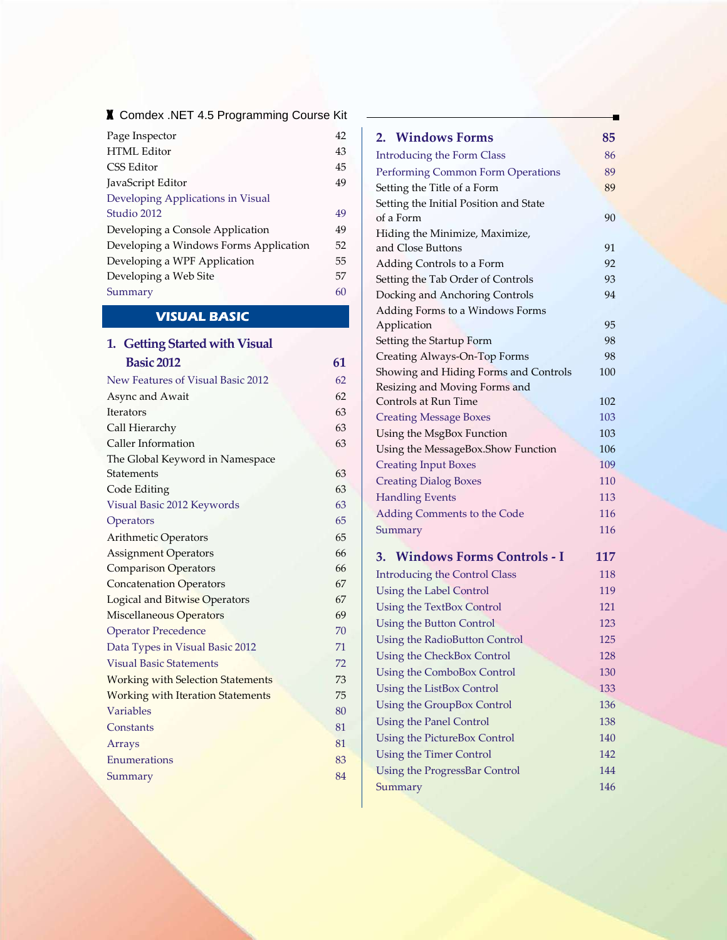## x Comdex .NET 4.5 Programming Course Kit

| 42 |
|----|
| 43 |
| 45 |
| 49 |
|    |
| 49 |
| 49 |
| 52 |
| 55 |
| 57 |
| 60 |
|    |

# **VISUAL BASIC**

| 1. Getting Started with Visual           |    |
|------------------------------------------|----|
| <b>Basic 2012</b>                        | 61 |
| New Features of Visual Basic 2012        | 62 |
| Async and Await                          | 62 |
| Iterators                                | 63 |
| Call Hierarchy                           | 63 |
| Caller Information                       | 63 |
| The Global Keyword in Namespace          |    |
| <b>Statements</b>                        | 63 |
| Code Editing                             | 63 |
| Visual Basic 2012 Keywords               | 63 |
| Operators                                | 65 |
| Arithmetic Operators                     | 65 |
| <b>Assignment Operators</b>              | 66 |
| <b>Comparison Operators</b>              | 66 |
| <b>Concatenation Operators</b>           | 67 |
| Logical and Bitwise Operators            | 67 |
| Miscellaneous Operators                  | 69 |
| <b>Operator Precedence</b>               | 70 |
| Data Types in Visual Basic 2012          | 71 |
| <b>Visual Basic Statements</b>           | 72 |
| <b>Working with Selection Statements</b> | 73 |
| <b>Working with Iteration Statements</b> | 75 |
| <b>Variables</b>                         | 80 |
| Constants                                | 81 |
| Arrays                                   | 81 |
| Enumerations                             | 83 |
| Summary                                  | 84 |
|                                          |    |

### **2. Windows Forms 85**

| <b>Introducing the Form Class</b>      | 86  |
|----------------------------------------|-----|
| Performing Common Form Operations      | 89  |
| Setting the Title of a Form            | 89  |
| Setting the Initial Position and State |     |
| of a Form                              | 90  |
| Hiding the Minimize, Maximize,         |     |
| and Close Buttons                      | 91  |
| Adding Controls to a Form              | 92  |
| Setting the Tab Order of Controls      | 93  |
| Docking and Anchoring Controls         | 94  |
| Adding Forms to a Windows Forms        |     |
| Application                            | 95  |
| Setting the Startup Form               | 98  |
| Creating Always-On-Top Forms           | 98  |
| Showing and Hiding Forms and Controls  | 100 |
| Resizing and Moving Forms and          |     |
| Controls at Run Time                   | 102 |
| <b>Creating Message Boxes</b>          | 103 |
| Using the MsgBox Function              | 103 |
| Using the MessageBox.Show Function     | 106 |
| <b>Creating Input Boxes</b>            | 109 |
| <b>Creating Dialog Boxes</b>           | 110 |
| <b>Handling Events</b>                 | 113 |
| Adding Comments to the Code            | 116 |
| Summary                                | 116 |
| 3. Windows Forms Controls - I          | 117 |
| <b>Introducing the Control Class</b>   | 118 |
| Using the Label Control                | 119 |
| Using the TextBox Control              | 121 |
| Using the Button Control               | 123 |
| Using the RadioButton Control          | 125 |
| <b>Using the CheckBox Control</b>      | 128 |
| Using the ComboBox Control             | 130 |
| Using the ListBox Control              | 133 |
| Using the GroupBox Control             | 136 |
| <b>Using the Panel Control</b>         | 138 |
| Using the PictureBox Control           | 140 |
| Using the Timer Control                | 142 |
| Using the ProgressBar Control          | 144 |
| Summary                                | 146 |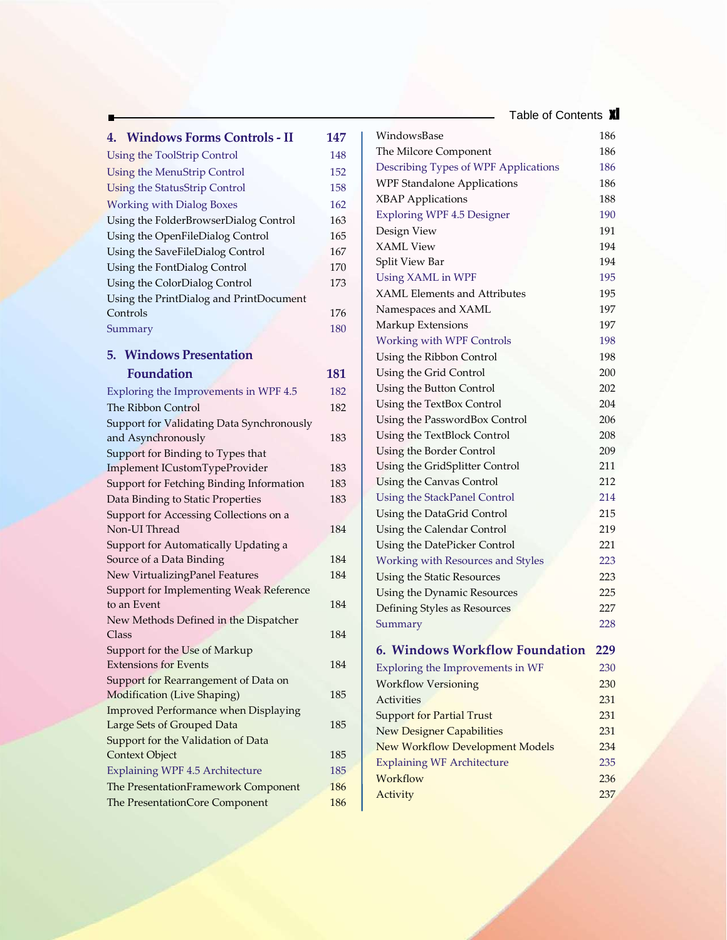Table of Contents **XI** 

| 4. Windows Forms Controls - II                                     | 147 |
|--------------------------------------------------------------------|-----|
| <b>Using the ToolStrip Control</b>                                 | 148 |
| <b>Using the MenuStrip Control</b>                                 | 152 |
| <b>Using the StatusStrip Control</b>                               | 158 |
| <b>Working with Dialog Boxes</b>                                   | 162 |
| Using the FolderBrowserDialog Control                              | 163 |
| Using the OpenFileDialog Control                                   | 165 |
| Using the SaveFileDialog Control                                   | 167 |
| Using the FontDialog Control                                       | 170 |
| Using the ColorDialog Control                                      | 173 |
| Using the PrintDialog and PrintDocument                            |     |
| Controls                                                           | 176 |
| Summary                                                            | 180 |
| <b>5. Windows Presentation</b>                                     |     |
| <b>Foundation</b>                                                  |     |
|                                                                    | 181 |
| Exploring the Improvements in WPF 4.5                              | 182 |
| The Ribbon Control                                                 | 182 |
| Support for Validating Data Synchronously                          |     |
| and Asynchronously                                                 | 183 |
| Support for Binding to Types that<br>Implement ICustomTypeProvider | 183 |
| Support for Fetching Binding Information                           | 183 |
| Data Binding to Static Properties                                  | 183 |
| Support for Accessing Collections on a                             |     |
| Non-UI Thread                                                      | 184 |
| Support for Automatically Updating a                               |     |
| Source of a Data Binding                                           | 184 |
| New VirtualizingPanel Features                                     | 184 |
| Support for Implementing Weak Reference                            |     |
| to an Event                                                        | 184 |
| New Methods Defined in the Dispatcher                              |     |
| Class                                                              | 184 |
| Support for the Use of Markup                                      |     |
| <b>Extensions for Events</b>                                       | 184 |
| Support for Rearrangement of Data on                               |     |
| Modification (Live Shaping)                                        | 185 |
| <b>Improved Performance when Displaying</b>                        | 185 |
| Large Sets of Grouped Data                                         |     |
| Support for the Validation of Data<br>Context Object               | 185 |
| Explaining WPF 4.5 Architecture                                    | 185 |
| The PresentationFramework Component                                | 186 |
| The PresentationCore Component                                     | 186 |
|                                                                    |     |

| WindowsBase                            | 186        |
|----------------------------------------|------------|
| The Milcore Component                  | 186        |
| Describing Types of WPF Applications   | 186        |
| <b>WPF Standalone Applications</b>     | 186        |
| <b>XBAP</b> Applications               | 188        |
| <b>Exploring WPF 4.5 Designer</b>      | 190        |
| Design View                            | 191        |
| <b>XAML View</b>                       | 194        |
| Split View Bar                         | 194        |
| Using XAML in WPF                      | 195        |
| <b>XAML Elements and Attributes</b>    | 195        |
| Namespaces and XAML                    | 197        |
| Markup Extensions                      | 197        |
| <b>Working with WPF Controls</b>       | 198        |
| Using the Ribbon Control               | 198        |
| Using the Grid Control                 | 200        |
| Using the Button Control               | 202        |
| Using the TextBox Control              | 204        |
| Using the PasswordBox Control          | 206        |
| Using the TextBlock Control            | 208        |
| Using the Border Control               | 209        |
| Using the GridSplitter Control         | 211        |
| Using the Canvas Control               | 212        |
| Using the StackPanel Control           | 214        |
| Using the DataGrid Control             | 215        |
| Using the Calendar Control             | 219        |
| Using the DatePicker Control           | 221        |
| Working with Resources and Styles      | 223        |
| Using the Static Resources             | 223        |
| Using the Dynamic Resources            | 225        |
| Defining Styles as Resources           | 227        |
| Summary                                | 228        |
|                                        |            |
| 6. Windows Workflow Foundation         | <u>229</u> |
| Exploring the Improvements in WF       | 230        |
| <b>Workflow Versioning</b>             | 230        |
| Activities                             | 231        |
| <b>Support for Partial Trust</b>       | 231        |
| <b>New Designer Capabilities</b>       | 231        |
| <b>New Workflow Development Models</b> | 234        |
| <b>Explaining WF Architecture</b>      | 235        |
| Workflow                               | 236        |
| Activity                               | 237        |
|                                        |            |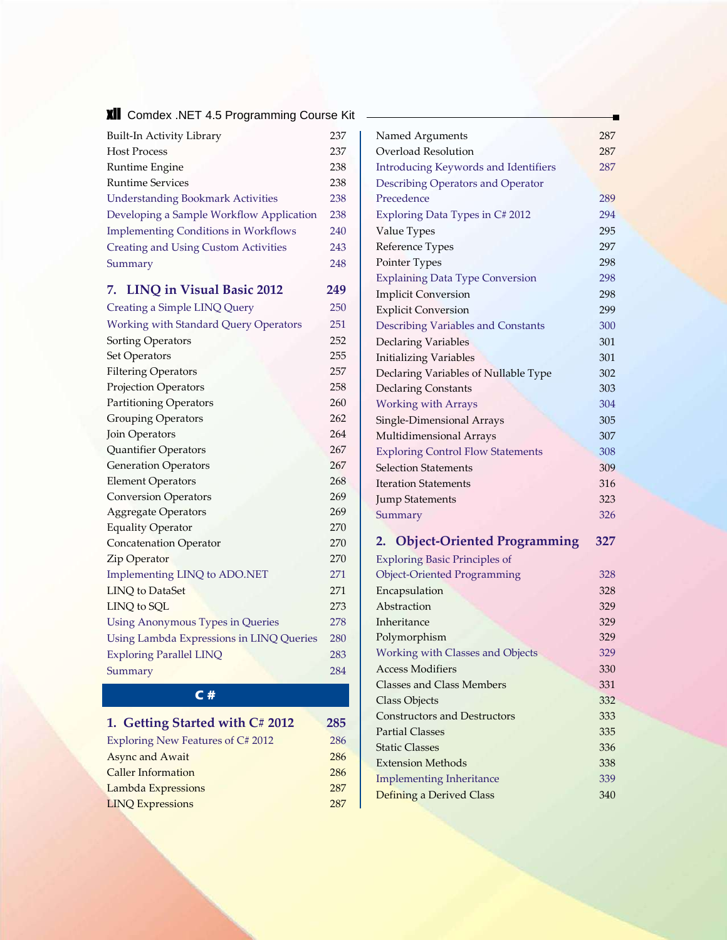**XII** Comdex .NET 4.5 Programming Course Kit

| Built-In Activity Library                    | 237 |
|----------------------------------------------|-----|
| <b>Host Process</b>                          | 237 |
| Runtime Engine                               | 238 |
| <b>Runtime Services</b>                      | 238 |
| <b>Understanding Bookmark Activities</b>     | 238 |
| Developing a Sample Workflow Application     | 238 |
| <b>Implementing Conditions in Workflows</b>  | 240 |
| <b>Creating and Using Custom Activities</b>  | 243 |
| Summary                                      | 248 |
| 7. LINQ in Visual Basic 2012                 | 249 |
| Creating a Simple LINQ Query                 | 250 |
| <b>Working with Standard Query Operators</b> | 251 |
| Sorting Operators                            | 252 |
| Set Operators                                | 255 |
| <b>Filtering Operators</b>                   | 257 |
| <b>Projection Operators</b>                  | 258 |
| <b>Partitioning Operators</b>                | 260 |
| <b>Grouping Operators</b>                    | 262 |
| Join Operators                               | 264 |
| Quantifier Operators                         | 267 |
| <b>Generation Operators</b>                  | 267 |
| <b>Element Operators</b>                     | 268 |
| <b>Conversion Operators</b>                  | 269 |
| <b>Aggregate Operators</b>                   | 269 |
| <b>Equality Operator</b>                     | 270 |
| <b>Concatenation Operator</b>                | 270 |
| Zip Operator                                 | 270 |
| Implementing LINQ to ADO.NET                 | 271 |
| <b>LINQ</b> to DataSet                       | 271 |
| LINQ to SQL                                  | 273 |
| <b>Using Anonymous Types in Queries</b>      | 278 |
| Using Lambda Expressions in LINQ Queries     | 280 |
| <b>Exploring Parallel LINQ</b>               | 283 |
| Summary                                      | 284 |

# **C #**

| 1. Getting Started with C# 2012   | 285 |
|-----------------------------------|-----|
| Exploring New Features of C# 2012 | 286 |
| <b>Async and Await</b>            | 286 |
| <b>Caller Information</b>         | 286 |
| Lambda Expressions                | 287 |
| <b>LINQ Expressions</b>           | 287 |

| Named Arguments                             | 287 |
|---------------------------------------------|-----|
| Overload Resolution                         | 287 |
| <b>Introducing Keywords and Identifiers</b> | 287 |
| Describing Operators and Operator           |     |
| Precedence                                  | 289 |
| Exploring Data Types in C# 2012             | 294 |
| Value Types                                 | 295 |
| Reference Types                             | 297 |
| Pointer Types                               | 298 |
| <b>Explaining Data Type Conversion</b>      | 298 |
| <b>Implicit Conversion</b>                  | 298 |
| <b>Explicit Conversion</b>                  | 299 |
| Describing Variables and Constants          | 300 |
| Declaring Variables                         | 301 |
| <b>Initializing Variables</b>               | 301 |
| Declaring Variables of Nullable Type        | 302 |
| <b>Declaring Constants</b>                  | 303 |
| <b>Working with Arrays</b>                  | 304 |
| Single-Dimensional Arrays                   | 305 |
| Multidimensional Arrays                     | 307 |
| <b>Exploring Control Flow Statements</b>    | 308 |
| <b>Selection Statements</b>                 | 309 |
| <b>Iteration Statements</b>                 | 316 |
| <b>Jump Statements</b>                      | 323 |
| Summary                                     | 326 |
|                                             |     |

# **2. Object-Oriented Programming 327**

| <b>Exploring Basic Principles of</b> |     |
|--------------------------------------|-----|
| <b>Object-Oriented Programming</b>   | 328 |
| Encapsulation                        | 328 |
| Abstraction                          | 329 |
| Inheritance                          | 329 |
| Polymorphism                         | 329 |
| Working with Classes and Objects     | 329 |
| Access Modifiers                     | 330 |
| Classes and Class Members            | 331 |
| Class Objects                        | 332 |
| <b>Constructors and Destructors</b>  | 333 |
| <b>Partial Classes</b>               | 335 |
| <b>Static Classes</b>                | 336 |
| <b>Extension Methods</b>             | 338 |
| <b>Implementing Inheritance</b>      | 339 |
| Defining a Derived Class             | 340 |
|                                      |     |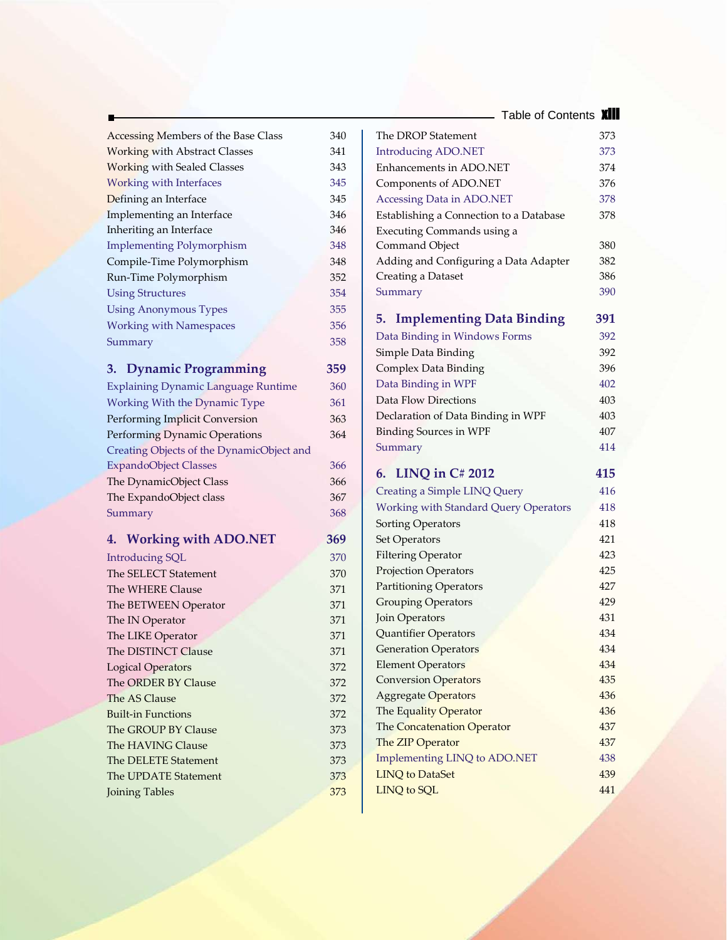Table of Contents **Xiii** 

| Accessing Members of the Base Class        |     |
|--------------------------------------------|-----|
|                                            | 340 |
| <b>Working with Abstract Classes</b>       | 341 |
| <b>Working with Sealed Classes</b>         | 343 |
| <b>Working with Interfaces</b>             | 345 |
| Defining an Interface                      | 345 |
| Implementing an Interface                  | 346 |
| Inheriting an Interface                    | 346 |
| <b>Implementing Polymorphism</b>           | 348 |
| Compile-Time Polymorphism                  | 348 |
| Run-Time Polymorphism                      | 352 |
| <b>Using Structures</b>                    | 354 |
| <b>Using Anonymous Types</b>               | 355 |
| <b>Working with Namespaces</b>             | 356 |
| Summary                                    | 358 |
|                                            |     |
| <b>Dynamic Programming</b><br>3.           | 359 |
| <b>Explaining Dynamic Language Runtime</b> | 360 |
| Working With the Dynamic Type              | 361 |
| Performing Implicit Conversion             | 363 |
| Performing Dynamic Operations              | 364 |
| Creating Objects of the DynamicObject and  |     |
| <b>ExpandoObject Classes</b>               | 366 |
| The DynamicObject Class                    | 366 |
| The ExpandoObject class                    | 367 |
| Summary                                    | 368 |
| 4. Working with ADO.NET                    | 369 |
| <b>Introducing SQL</b>                     | 370 |
| The SELECT Statement                       | 370 |
| The WHERE Clause                           | 371 |
| The BETWEEN Operator                       | 371 |
| The IN Operator                            | 371 |
| The LIKE Operator                          | 371 |
| The DISTINCT Clause                        | 371 |
| <b>Logical Operators</b>                   | 372 |
| The ORDER BY Clause                        | 372 |
| The AS Clause                              | 372 |
| <b>Built-in Functions</b>                  | 372 |
|                                            | 373 |
| The GROUP BY Clause                        |     |
| The HAVING Clause                          | 373 |
| The DELETE Statement                       | 373 |
| The UPDATE Statement                       | 373 |

| The DROP Statement                           | 373        |
|----------------------------------------------|------------|
| <b>Introducing ADO.NET</b>                   | 373        |
| Enhancements in ADO.NET                      | 374        |
| Components of ADO.NET                        | 376        |
| Accessing Data in ADO.NET                    | 378        |
| Establishing a Connection to a Database      | 378        |
| Executing Commands using a                   |            |
| Command Object                               | 380        |
| Adding and Configuring a Data Adapter        | 382        |
| Creating a Dataset                           | 386        |
| Summary                                      | 390        |
| 5.<br><b>Implementing Data Binding</b>       | 391        |
| Data Binding in Windows Forms                | 392        |
| Simple Data Binding                          | 392        |
| Complex Data Binding                         | 396        |
| Data Binding in WPF                          | 402        |
| Data Flow Directions                         | 403        |
| Declaration of Data Binding in WPF           | 403        |
| <b>Binding Sources in WPF</b>                | 407        |
| Summary                                      | 414        |
|                                              |            |
| 6. LINQ in C# 2012                           | 415        |
| Creating a Simple LINQ Query                 | 416        |
| <b>Working with Standard Query Operators</b> | 418        |
| Sorting Operators                            | 418        |
| Set Operators                                | 421        |
| <b>Filtering Operator</b>                    | 423        |
| <b>Projection Operators</b>                  | 425        |
| <b>Partitioning Operators</b>                | 427        |
| <b>Grouping Operators</b>                    | 429        |
| Join Operators                               | 431        |
| Quantifier Operators                         | 434        |
| <b>Generation Operators</b>                  | 434        |
| <b>Element Operators</b>                     | 434        |
| <b>Conversion Operators</b>                  | 435        |
| <b>Aggregate Operators</b>                   | 436        |
| The Equality Operator                        | 436        |
| The Concatenation Operator                   | 437        |
| The ZIP Operator                             | 437        |
| Implementing LINQ to ADO.NET                 | 438        |
| <b>LINQ</b> to DataSet<br>LINQ to SQL        | 439<br>441 |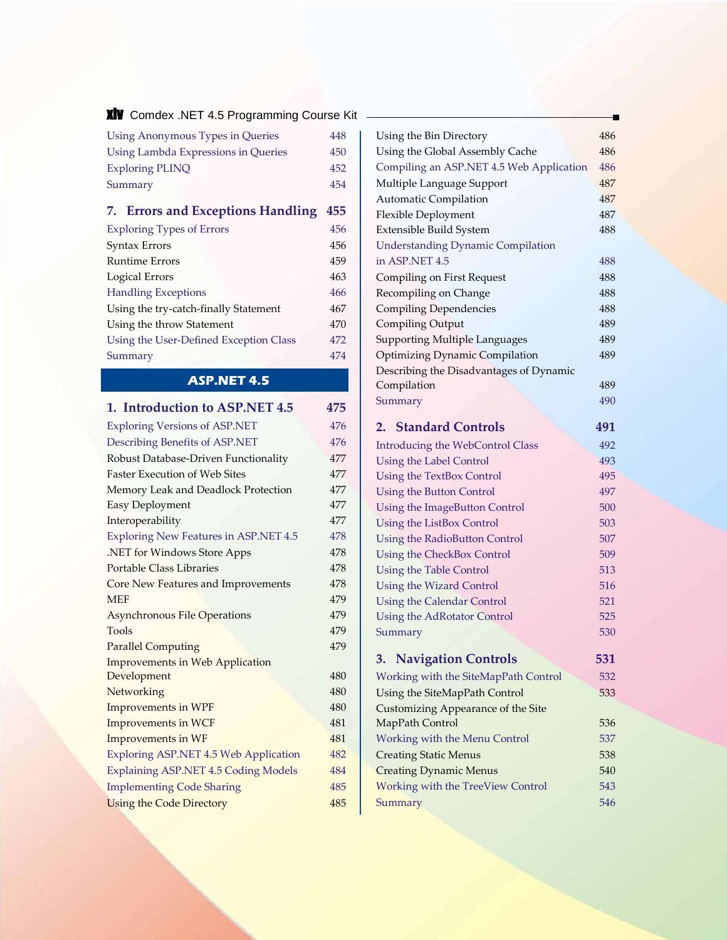**XIV** Comdex .NET 4.5 Programming Course Kit -

| Using Anonymous Types in Queries    | 448 |
|-------------------------------------|-----|
| Using Lambda Expressions in Queries | 450 |
| <b>Exploring PLINQ</b>              | 452 |
| Summary                             | 454 |

# **7. Errors and Exceptions Handling 455**

| <b>Exploring Types of Errors</b>       | 456 |
|----------------------------------------|-----|
| Syntax Errors                          | 456 |
| Runtime Errors                         | 459 |
| Logical Errors                         | 463 |
| <b>Handling Exceptions</b>             | 466 |
| Using the try-catch-finally Statement  | 467 |
| Using the throw Statement              | 470 |
| Using the User-Defined Exception Class | 472 |
| Summary                                | 474 |
|                                        |     |

## **ASP.NET 4.5**

| 1. Introduction to ASP.NET 4.5              | 475 |
|---------------------------------------------|-----|
| <b>Exploring Versions of ASP.NET</b>        | 476 |
| Describing Benefits of ASP.NET              | 476 |
| Robust Database-Driven Functionality        | 477 |
| <b>Faster Execution of Web Sites</b>        | 477 |
| Memory Leak and Deadlock Protection         | 477 |
| Easy Deployment                             | 477 |
| Interoperability                            | 477 |
| Exploring New Features in ASP.NET 4.5       | 478 |
| .NET for Windows Store Apps                 | 478 |
| Portable Class Libraries                    | 478 |
| Core New Features and Improvements          | 478 |
| <b>MEF</b>                                  | 479 |
| <b>Asynchronous File Operations</b>         | 479 |
| Tools                                       | 479 |
| <b>Parallel Computing</b>                   | 479 |
| <b>Improvements in Web Application</b>      |     |
| Development                                 | 480 |
| Networking                                  | 480 |
| <b>Improvements in WPF</b>                  | 480 |
| <b>Improvements in WCF</b>                  | 481 |
| Improvements in WF                          | 481 |
| Exploring ASP.NET 4.5 Web Application       | 482 |
| <b>Explaining ASP.NET 4.5 Coding Models</b> | 484 |
| <b>Implementing Code Sharing</b>            | 485 |
| <b>Using the Code Directory</b>             | 485 |

| Using the Bin Directory                  | 486        |
|------------------------------------------|------------|
| Using the Global Assembly Cache          | 486        |
| Compiling an ASP.NET 4.5 Web Application | 486        |
| Multiple Language Support                | 487        |
| <b>Automatic Compilation</b>             | 487        |
| Flexible Deployment                      | 487        |
| Extensible Build System                  | 488        |
| <b>Understanding Dynamic Compilation</b> |            |
| in ASP.NET 4.5                           | 488        |
| <b>Compiling on First Request</b>        | 488        |
| Recompiling on Change                    | 488        |
| Compiling Dependencies                   | 488        |
| Compiling Output                         | 489        |
| Supporting Multiple Languages            | 489        |
| Optimizing Dynamic Compilation           | 489        |
| Describing the Disadvantages of Dynamic  |            |
| Compilation                              | 489        |
| Summary                                  | 490        |
| <b>2. Standard Controls</b>              | 491        |
|                                          | 492        |
| <b>Introducing the WebControl Class</b>  | 493        |
| <b>Using the Label Control</b>           | 495        |
| <b>Using the TextBox Control</b>         | 497        |
| <b>Using the Button Control</b>          | 500        |
| Using the ImageButton Control            |            |
| Using the ListBox Control                | 503        |
| <b>Using the RadioButton Control</b>     | 507<br>509 |
| Using the CheckBox Control               | 513        |
| <b>Using the Table Control</b>           | 516        |
| <b>Using the Wizard Control</b>          | 521        |
| <b>Using the Calendar Control</b>        | 525        |
| Using the AdRotator Control<br>Summary   | 530        |
|                                          |            |
| <b>3. Navigation Controls</b>            | 531        |
| Working with the SiteMapPath Control     | 532        |
| Using the SiteMapPath Control            | 533        |
| Customizing Appearance of the Site       |            |
| MapPath Control                          | 536        |
| <b>Working with the Menu Control</b>     | 537        |
| <b>Creating Static Menus</b>             | 538        |
| <b>Creating Dynamic Menus</b>            | 540        |
| <b>Working with the TreeView Control</b> | 543        |
| Summary                                  | 546        |
|                                          |            |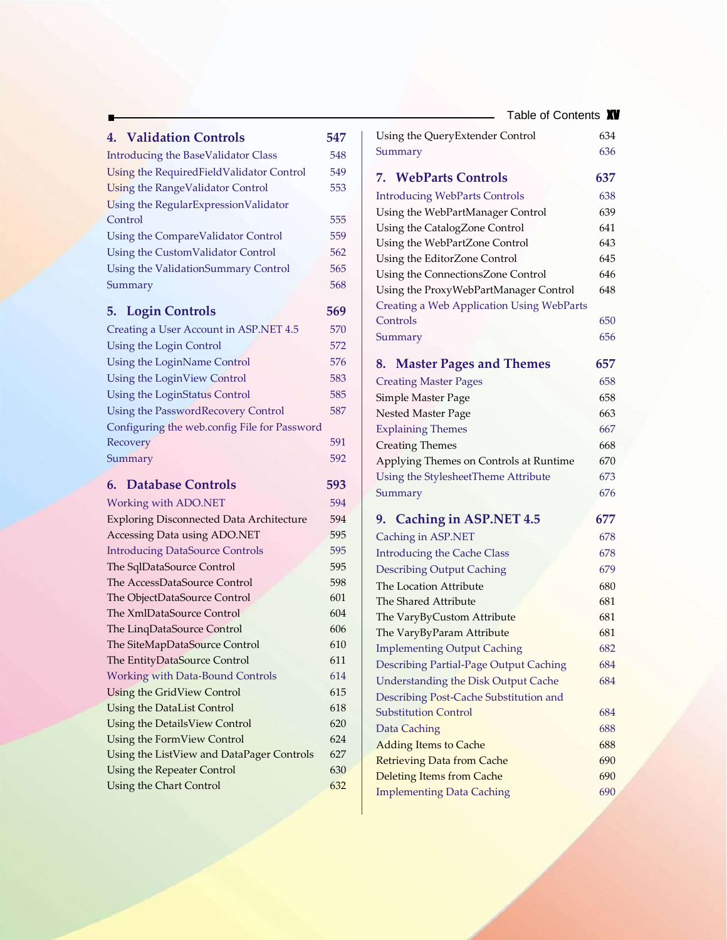| 4. Validation Controls                                                  | 547        |
|-------------------------------------------------------------------------|------------|
|                                                                         | 548        |
| <b>Introducing the BaseValidator Class</b>                              |            |
| Using the RequiredFieldValidator Control                                | 549        |
| <b>Using the RangeValidator Control</b>                                 | 553        |
| Using the RegularExpressionValidator<br>Control                         |            |
|                                                                         | 555        |
| Using the CompareValidator Control                                      | 559        |
| Using the CustomValidator Control                                       | 562        |
| Using the ValidationSummary Control                                     | 565        |
| Summary                                                                 | 568        |
| <b>5. Login Controls</b>                                                | 569        |
| Creating a User Account in ASP.NET 4.5                                  | 570        |
| Using the Login Control                                                 | 572        |
| Using the LoginName Control                                             | 576        |
| Using the LoginView Control                                             | 583        |
| Using the LoginStatus Control                                           | 585        |
| Using the PasswordRecovery Control                                      | 587        |
| Configuring the web.config File for Password                            |            |
| Recovery                                                                | 591        |
| Summary                                                                 | 592        |
|                                                                         |            |
| <b>Database Controls</b><br>6.                                          | 593        |
| Working with ADO.NET                                                    | 594        |
| <b>Exploring Disconnected Data Architecture</b>                         | 594        |
| Accessing Data using ADO.NET                                            | 595        |
| <b>Introducing DataSource Controls</b>                                  | 595        |
| The SqlDataSource Control                                               | 595        |
| The AccessDataSource Control                                            | 598        |
| The ObjectDataSource Control                                            | 601        |
| The XmlDataSource Control                                               | 604        |
| The LinqDataSource Control                                              | 606        |
| The SiteMapDataSource Control                                           | 610<br>611 |
| The EntityDataSource Control<br><b>Working with Data-Bound Controls</b> | 614        |
| Using the GridView Control                                              | 615        |
| Using the DataList Control                                              | 618        |
| Using the DetailsView Control                                           | 620        |
| Using the FormView Control                                              | 624        |
| Using the ListView and DataPager Controls                               | 627        |
| Using the Repeater Control                                              | 630        |
|                                                                         |            |
| Using the Chart Control                                                 | 632        |

| Table of Contents <b>XV</b>                      |     |
|--------------------------------------------------|-----|
| Using the QueryExtender Control                  | 634 |
| Summary                                          | 636 |
| <b>7. WebParts Controls</b>                      | 637 |
| <b>Introducing WebParts Controls</b>             | 638 |
| Using the WebPartManager Control                 | 639 |
| Using the CatalogZone Control                    | 641 |
| Using the WebPartZone Control                    | 643 |
| Using the EditorZone Control                     | 645 |
| Using the ConnectionsZone Control                | 646 |
| Using the ProxyWebPartManager Control            | 648 |
| <b>Creating a Web Application Using WebParts</b> |     |
| Controls                                         | 650 |
| Summary                                          | 656 |
| 8. Master Pages and Themes                       | 657 |
| <b>Creating Master Pages</b>                     | 658 |
| Simple Master Page                               | 658 |
| Nested Master Page                               | 663 |
| <b>Explaining Themes</b>                         | 667 |
| <b>Creating Themes</b>                           | 668 |
| Applying Themes on Controls at Runtime           | 670 |
| Using the StylesheetTheme Attribute              | 673 |
| Summary                                          | 676 |
| 9. Caching in ASP.NET 4.5                        | 677 |
| Caching in ASP.NET                               | 678 |
| <b>Introducing the Cache Class</b>               | 678 |
| <b>Describing Output Caching</b>                 | 679 |
| The Location Attribute                           | 680 |
| The Shared Attribute                             | 681 |
| The VaryByCustom Attribute                       | 681 |
| The VaryByParam Attribute                        | 681 |
| <b>Implementing Output Caching</b>               | 682 |
| Describing Partial-Page Output Caching           | 684 |
| Understanding the Disk Output Cache              | 684 |
| Describing Post-Cache Substitution and           |     |
| <b>Substitution Control</b>                      | 684 |
| Data Caching                                     | 688 |
| <b>Adding Items to Cache</b>                     | 688 |
| <b>Retrieving Data from Cache</b>                | 690 |
| <b>Deleting Items from Cache</b>                 | 690 |
| <b>Implementing Data Caching</b>                 | 690 |